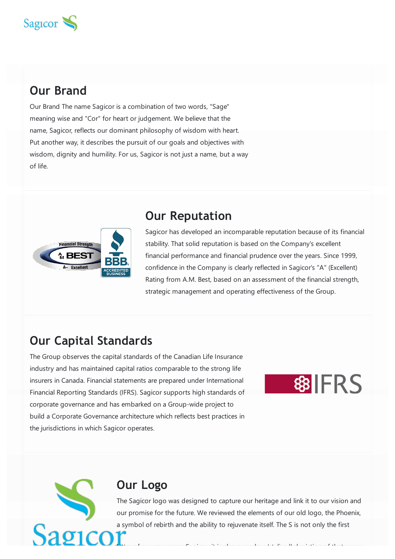

# **Our Brand**

Our Brand The name Sagicor is a combination of two words, "Sage" meaning wise and "Cor" for heart or judgement. We believe that the name, Sagicor, reflects our dominant philosophy of wisdom with heart. Put another way, it describes the pursuit of our goals and objectives with wisdom, dignity and humility. For us, Sagicor is not just a name, but a way of life.



### **Our Reputation**

Sagicor has developed an incomparable reputation because of its financial stability. That solid reputation is based on the Company's excellent financial performance and financial prudence over the years. Since 1999, confidence in the Company is clearly reflected in Sagicor's "A" (Excellent) Rating from A.M. Best, based on an assessment of the financial strength, strategic management and operating effectiveness of the Group.

# **Our Capital Standards**

The Group observes the capital standards of the Canadian Life Insurance industry and has maintained capital ratios comparable to the strong life insurers in Canada. Financial statements are prepared under International Financial Reporting Standards (IFRS). Sagicor supports high standards of corporate governance and has embarked on a Group-wide project to build a Corporate Governance architecture which reflects best practices in the jurisdictions in which Sagicor operates.

**\$PIFRS** 

#### **Our Logo**

The Sagicor logo was designed to capture our heritage and link it to our vision and our promise for the future. We reviewed the elements of our old logo, the Phoenix, a symbol of rebirth and the ability to rejuvenate itself. The S is not only the first

letter of our new name Sagicor; it is also a modern that it is also a modern that it is also a modern that it i<br>The same Sagicor; it is also a modern that it is also a modern that it is also a modern that it is also a mode